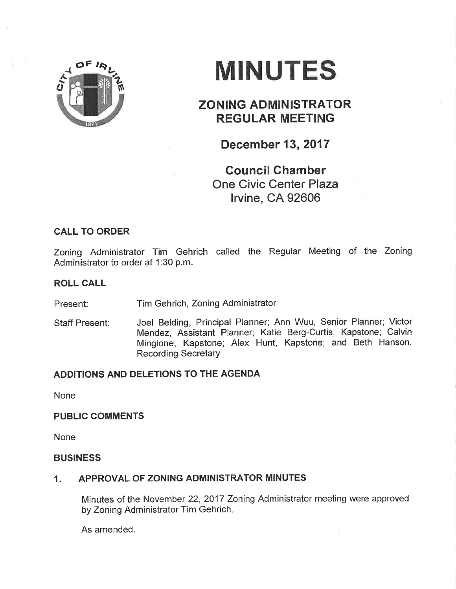

# MINUTES

## ZONING ADMINISTRATOR REGULAR MEETING

December 13,2017

Council Ghamber One Civic Center Plaza lrvine, CA 92606

## CALL TO ORDER

Zoning Administrator Tim Gehrich called the Regular Meeting of the Zoning Administrator to order at 1:30 p.m.

## ROLL CALL

Present: Tim Gehrich, Zoning Administrator

Joel Belding, Principal Planner; Ann Wuu, Senior Planner; Victor Mendez, Assistant Planner; Katie Berg-Curtis, Kapstone; Calvin Mingione, Kapstone; Alex Hunt, Kapstone; and Beth Hanson, Recording Secretary Staff Present:

## ADDITIONS AND DELETIONS TO THE AGENDA

None

## PUBLIC COMMENTS

None

## BUSINESS

#### APPROVAL OF ZONING ADMINISTRATOR MINUTES 1

Minutes of the November 22, 2017 Zoning Administrator meeting were approved by Zoning Administrator Tim Gehrich

As amended.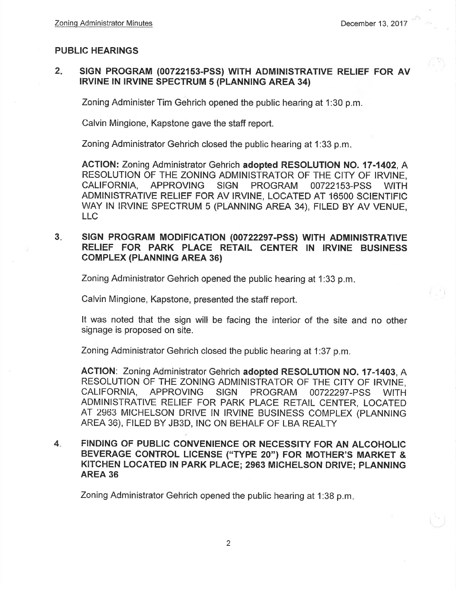## PUBLIC HEARINGS

#### 2 SIGN PROGRAM (00722153-PSS) WITH ADMINISTRATIVE RELIEF FOR AV IRVINE IN IRVINE SPECTRUM 5 (PLANNING AREA 34)

Zoning Administer Tim Gehrich opened the public hearing at 1:30 p.m.

Calvin Mingione, Kapstone gave the staff report.

Zoning Administrator Gehrich closed the public hearing at 1:33 p.m

AGTION: Zoning Administrator Gehrich adopted RESOLUTION NO. {7-1402, A RESOLUTION OF THE ZONING ADMINISTRATOR OF THE CITY OF IRVINE. CALIFORNIA, APPROVING SIGN PROGRAM 00722153-PSS WITH ADMINISTRATIVE RELIEF FOR AV IRVINE, LOCATED AT 16500 SCIENTIFIC WAY IN IRVINE SPECTRUM 5 (PLANNING AREA 34), FILED BY AV VENUE, LLC

## 3. SIGN PROGRAM MODIFICATION (00722297-PSS) WITH ADMINISTRATIVE RELIEF FOR PARK PLACE RETAIL CENTER IN IRVINE BUSINESS **COMPLEX (PLANNING AREA 36)**

Zoning Administrator Gehrich opened the public hearing at 1:33 p.m

Calvin Mingione, Kapstone, presented the staff report.

It was noted that the sign will be facing the interior of the síte and no other signage is proposed on site.

Zoning Administrator Gehrich closed the public hearing at 1:37 p.m.

ACTION: Zoning Administrator Gehrich adopted RESOLUTION NO. 17-1403, A RESOLUTION OF THE ZONING ADMINISTRATOR OF THE CITY OF IRVINE,<br>CALIFORNIA, APPROVING SIGN PROGRAM 00722297-PSS WITH 00722297-PSS WITH ADMINISTRATIVE RELIEF FOR PARK PLACE RETAIL CENTER, LOCATED AT 2963 MICHELSON DRIVE IN IRVINE BUSINESS COMPLEX (PLANNING AREA 36), FILED BY JB3D, INC ON BEHALF OF LBA REALTY

4. FINDING OF PUBLIC CONVENIENCE OR NECESSITY FOR AN ALCOHOLIC BEVERAGE CONTROL LICENSE ("TYPE 20") FOR MOTHER'S MARKET & KITCHEN LOCATED IN PARK PLACE; 2963 MICHELSON DRIVE; PLANNING AREA 36

Zoning Administrator Gehrich opened the public hearing at 1:38 p.m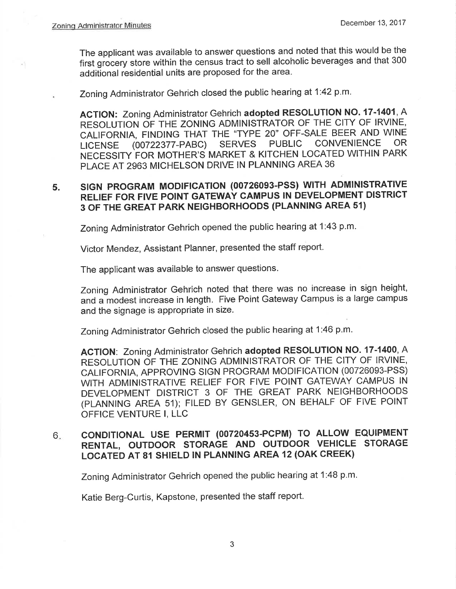The applicant was available to answer questions and noted that this would be the first giocery store within the census tract to sell alcoholic beverages and that 300 additional residential units are proposed for the area.

Zoning Administrator Gehrich closed the public hearing at 1:42 p.m.

ACTION: Zoning Administrator Gehrich adopted RESOLUTION NO. 17-1401, A RESOLUTION OF THE ZONING ADMINISTRATOR OF THE CITY OF IRVINE, CALIFORNIA, FINDING THAT THE "TYPE 20" OFF-SALE BEER AND WINE<br>LICENSE (00722377-PABC) SERVES PUBLIC CONVENIENCE OR LICENSE (00722377-PABC) SERVES PUBLIC CONVENIENCE OR NECESSITY FOR MOTHER'S MARKET & KITCHEN LOCATED WITHIN PARK PLACE AT 2963 MICHELSON DRIVE IN PLANNING AREA 36

### 5. SIGN PROGRAM MODIFICATION (00726093-PSS) WITH ADMINISTRATIVE RELIEF FOR FIVE POINT GATEWAY CAMPUS IN DEVELOPMENT DISTRICT 3 OF THE GREAT PARK NEIGHBORHOODS (PLANNING AREA 51)

Zoning Administrator Gehrich opened the public hearing at 1:43 p.m.

Victor Mendez, Assistant Planner, presented the staff report.

The applicant was available to answer questions.

Zoning Administrator Gehrich noted that there was no increase in sign height, and a modest increase in length. Five Point Gateway Campus is a large campus and the signage is appropriate in size.

Zoning Administrator Gehrich closed the public hearing at 1:46 p.m.

ACTION: Zoning Administrator Gehrich adopted RESOLUTION NO. 17-1400, A RESOLUTION OF THE ZONING ADMINISTRATOR OF THE CITY OF IRVINE, CALIFORNIA, APPROVING SIGN PROGRAM MODIFICATION (00726093-PSS) WITH ADMINISTRATIVE RELIEF FOR FIVE POINT GATEWAY CAMPUS IN DEVELOPMENT DISTRICT 3 OF THE GREAT PARK NEIGHBORHOODS (PLANNING AREA 51); FILED BY GENSLER, ON BEHALF OF FIVE POINT OFFICE VENTURE I, LLC

## coNDlTloNAL USE PERMIT (00720453-PCPM) TO ALLOW EQUIPMENT RENTAL, OUTDOOR STORAGE AND OUTDOOR VEHICLE STORAGE LOCATED AT 81 SHIELD lN PLANNING AREA 12 (OAK CREEK) 6

Zoning Administrator Gehrich opened the public hearing at 1:48 p.m.

Katie Berg-Curtis, Kapstone, presented the staff report.